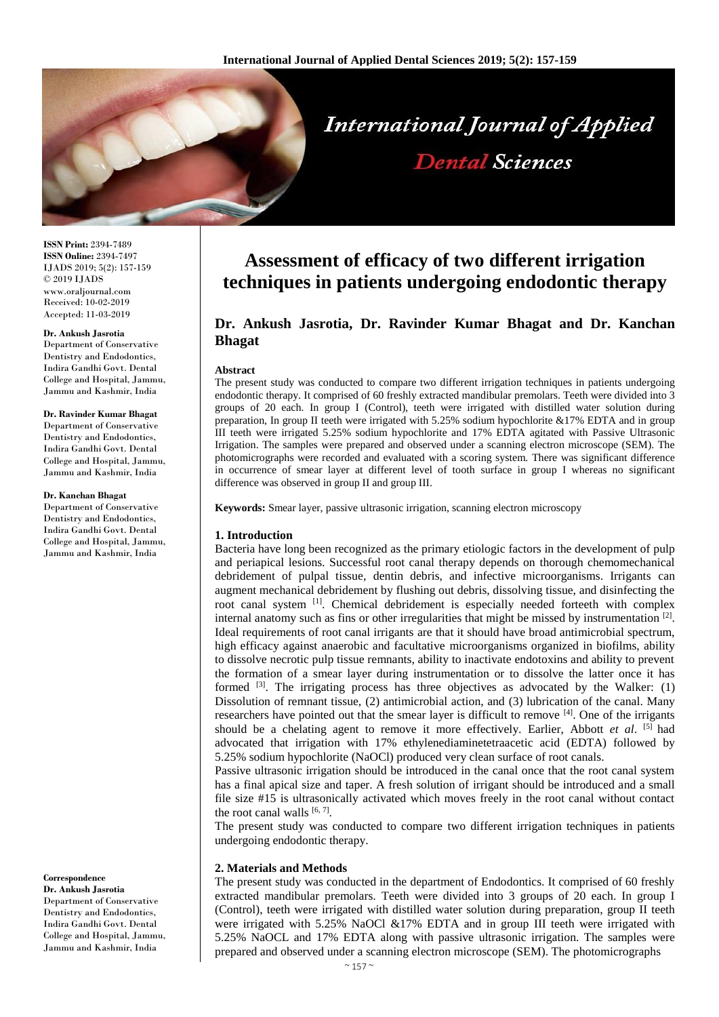

**ISSN Print:** 2394-7489 **ISSN Online:** 2394-7497 IJADS 2019; 5(2): 157-159 © 2019 IJADS www.oraljournal.com Received: 10-02-2019 Accepted: 11-03-2019

#### **Dr. Ankush Jasrotia**

Department of Conservative Dentistry and Endodontics, Indira Gandhi Govt. Dental College and Hospital, Jammu, Jammu and Kashmir, India

#### **Dr. Ravinder Kumar Bhagat**

Department of Conservative Dentistry and Endodontics, Indira Gandhi Govt. Dental College and Hospital, Jammu, Jammu and Kashmir, India

#### **Dr. Kanchan Bhagat**

Department of Conservative Dentistry and Endodontics, Indira Gandhi Govt. Dental College and Hospital, Jammu, Jammu and Kashmir, India

**Correspondence Dr. Ankush Jasrotia** Department of Conservative Dentistry and Endodontics, Indira Gandhi Govt. Dental College and Hospital, Jammu, Jammu and Kashmir, India

# **Assessment of efficacy of two different irrigation techniques in patients undergoing endodontic therapy**

# **Dr. Ankush Jasrotia, Dr. Ravinder Kumar Bhagat and Dr. Kanchan Bhagat**

#### **Abstract**

The present study was conducted to compare two different irrigation techniques in patients undergoing endodontic therapy. It comprised of 60 freshly extracted mandibular premolars. Teeth were divided into 3 groups of 20 each. In group I (Control), teeth were irrigated with distilled water solution during preparation, In group II teeth were irrigated with 5.25% sodium hypochlorite &17% EDTA and in group III teeth were irrigated 5.25% sodium hypochlorite and 17% EDTA agitated with Passive Ultrasonic Irrigation. The samples were prepared and observed under a scanning electron microscope (SEM). The photomicrographs were recorded and evaluated with a scoring system. There was significant difference in occurrence of smear layer at different level of tooth surface in group I whereas no significant difference was observed in group II and group III.

**Keywords:** Smear layer, passive ultrasonic irrigation, scanning electron microscopy

## **1. Introduction**

Bacteria have long been recognized as the primary etiologic factors in the development of pulp and periapical lesions. Successful root canal therapy depends on thorough chemomechanical debridement of pulpal tissue, dentin debris, and infective microorganisms. Irrigants can augment mechanical debridement by flushing out debris, dissolving tissue, and disinfecting the root canal system <sup>[1]</sup>. Chemical debridement is especially needed forteeth with complex internal anatomy such as fins or other irregularities that might be missed by instrumentation<sup>[2]</sup>. Ideal requirements of root canal irrigants are that it should have broad antimicrobial spectrum, high efficacy against anaerobic and facultative microorganisms organized in biofilms, ability to dissolve necrotic pulp tissue remnants, ability to inactivate endotoxins and ability to prevent the formation of a smear layer during instrumentation or to dissolve the latter once it has formed  $[3]$ . The irrigating process has three objectives as advocated by the Walker: (1) Dissolution of remnant tissue, (2) antimicrobial action, and (3) lubrication of the canal. Many researchers have pointed out that the smear layer is difficult to remove  $^{[4]}$ . One of the irrigants should be a chelating agent to remove it more effectively. Earlier, Abbott *et al*. [5] had advocated that irrigation with 17% ethylenediaminetetraacetic acid (EDTA) followed by 5.25% sodium hypochlorite (NaOCl) produced very clean surface of root canals.

Passive ultrasonic irrigation should be introduced in the canal once that the root canal system has a final apical size and taper. A fresh solution of irrigant should be introduced and a small file size #15 is ultrasonically activated which moves freely in the root canal without contact the root canal walls  $[6, 7]$ .

The present study was conducted to compare two different irrigation techniques in patients undergoing endodontic therapy.

#### **2. Materials and Methods**

The present study was conducted in the department of Endodontics. It comprised of 60 freshly extracted mandibular premolars. Teeth were divided into 3 groups of 20 each. In group I (Control), teeth were irrigated with distilled water solution during preparation, group II teeth were irrigated with 5.25% NaOCl &17% EDTA and in group III teeth were irrigated with 5.25% NaOCL and 17% EDTA along with passive ultrasonic irrigation. The samples were prepared and observed under a scanning electron microscope (SEM). The photomicrographs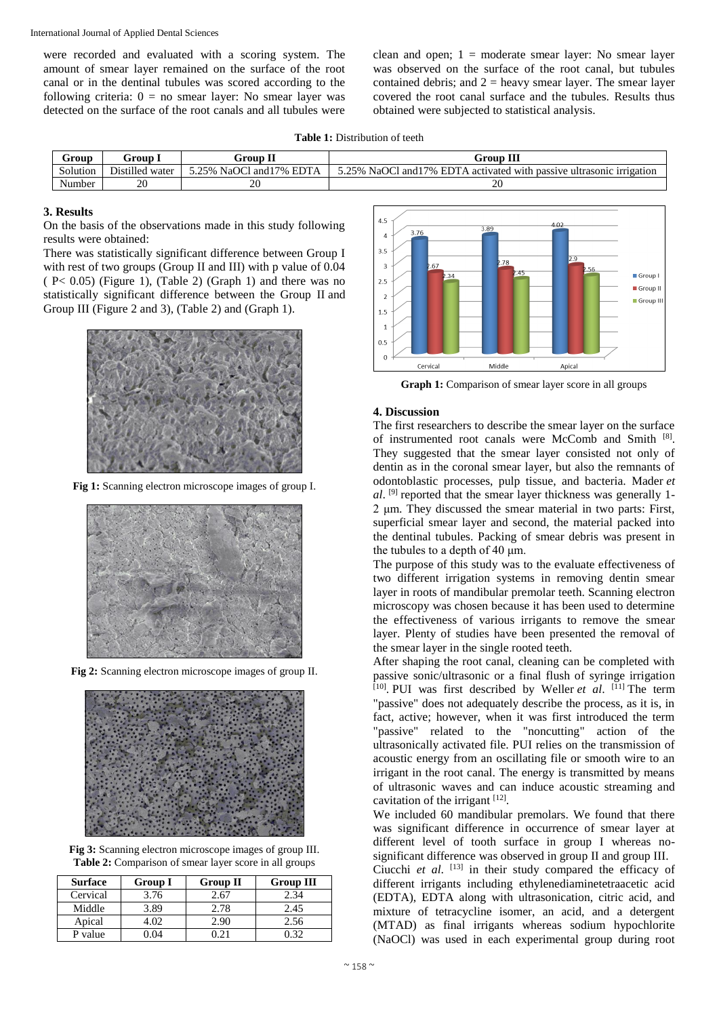were recorded and evaluated with a scoring system. The amount of smear layer remained on the surface of the root canal or in the dentinal tubules was scored according to the following criteria:  $0 = no$  smear layer: No smear layer was detected on the surface of the root canals and all tubules were clean and open;  $1 =$  moderate smear layer: No smear layer was observed on the surface of the root canal, but tubules contained debris; and  $2 =$  heavy smear layer. The smear layer covered the root canal surface and the tubules. Results thus obtained were subjected to statistical analysis.

**Table 1:** Distribution of teeth

| Group    | Group                     | Froup                                          | Group III                                                                            |  |
|----------|---------------------------|------------------------------------------------|--------------------------------------------------------------------------------------|--|
| Solution | <b>Distilled</b><br>water | <b>EDTA</b><br><b>NaOCl</b><br>.25%<br>and 17% | NaOCl<br>EDTA activated with<br>$5.25\%$<br>and 17%<br>passive ultrasonic irrigation |  |
| Number   | 20                        | or<br>∠∪                                       | 20                                                                                   |  |

# **3. Results**

On the basis of the observations made in this study following results were obtained:

There was statistically significant difference between Group I with rest of two groups (Group II and III) with p value of 0.04 ( P< 0.05) (Figure 1), (Table 2) (Graph 1) and there was no statistically significant difference between the Group II and Group III (Figure 2 and 3), (Table 2) and (Graph 1).



**Fig 1:** Scanning electron microscope images of group I.



**Fig 2:** Scanning electron microscope images of group II.



**Fig 3:** Scanning electron microscope images of group III. **Table 2:** Comparison of smear layer score in all groups

| <b>Surface</b> | <b>Group I</b> | <b>Group II</b> | <b>Group III</b> |
|----------------|----------------|-----------------|------------------|
| Cervical       | 3.76           | 2.67            | 2.34             |
| Middle         | 3.89           | 2.78            | 2.45             |
| Apical         |                | 2.96            | 2.56             |
| P value        |                |                 | 132              |



Graph 1: Comparison of smear layer score in all groups

## **4. Discussion**

The first researchers to describe the smear layer on the surface of instrumented root canals were McComb and Smith [8]. They suggested that the smear layer consisted not only of dentin as in the coronal smear layer, but also the remnants of odontoblastic processes, pulp tissue, and bacteria. Mader *et al*. [9] reported that the smear layer thickness was generally 1- 2 μm. They discussed the smear material in two parts: First, superficial smear layer and second, the material packed into the dentinal tubules. Packing of smear debris was present in the tubules to a depth of 40 μm.

The purpose of this study was to the evaluate effectiveness of two different irrigation systems in removing dentin smear layer in roots of mandibular premolar teeth. Scanning electron microscopy was chosen because it has been used to determine the effectiveness of various irrigants to remove the smear layer. Plenty of studies have been presented the removal of the smear layer in the single rooted teeth.

After shaping the root canal, cleaning can be completed with passive sonic/ultrasonic or a final flush of syringe irrigation [10] . PUI was first described by Weller *et al*. [11] The term "passive" does not adequately describe the process, as it is, in fact, active; however, when it was first introduced the term "passive" related to the "noncutting" action of the ultrasonically activated file. PUI relies on the transmission of acoustic energy from an oscillating file or smooth wire to an irrigant in the root canal. The energy is transmitted by means of ultrasonic waves and can induce acoustic streaming and cavitation of the irrigant  $[12]$ .

We included 60 mandibular premolars. We found that there was significant difference in occurrence of smear layer at different level of tooth surface in group I whereas nosignificant difference was observed in group II and group III.

Ciucchi *et al*. [13] in their study compared the efficacy of different irrigants including ethylenediaminetetraacetic acid (EDTA), EDTA along with ultrasonication, citric acid, and mixture of tetracycline isomer, an acid, and a detergent (MTAD) as final irrigants whereas sodium hypochlorite (NaOCl) was used in each experimental group during root